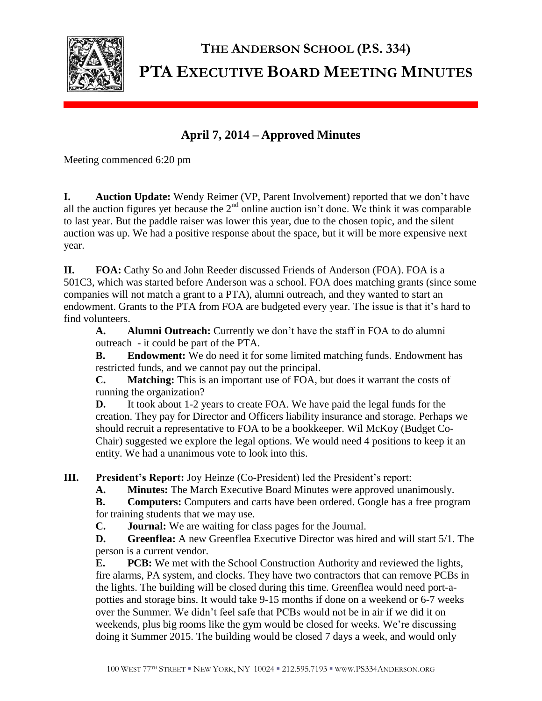

## **THE ANDERSON SCHOOL (P.S. 334) PTA EXECUTIVE BOARD MEETING MINUTES**

## **April 7, 2014 – Approved Minutes**

Meeting commenced 6:20 pm

**I. Auction Update:** Wendy Reimer (VP, Parent Involvement) reported that we don't have all the auction figures yet because the  $2<sup>nd</sup>$  online auction isn't done. We think it was comparable to last year. But the paddle raiser was lower this year, due to the chosen topic, and the silent auction was up. We had a positive response about the space, but it will be more expensive next year.

**II. FOA:** Cathy So and John Reeder discussed Friends of Anderson (FOA). FOA is a 501C3, which was started before Anderson was a school. FOA does matching grants (since some companies will not match a grant to a PTA), alumni outreach, and they wanted to start an endowment. Grants to the PTA from FOA are budgeted every year. The issue is that it's hard to find volunteers.

**A. Alumni Outreach:** Currently we don't have the staff in FOA to do alumni outreach - it could be part of the PTA.

**B. Endowment:** We do need it for some limited matching funds. Endowment has restricted funds, and we cannot pay out the principal.

**C. Matching:** This is an important use of FOA, but does it warrant the costs of running the organization?

**D.** It took about 1-2 years to create FOA. We have paid the legal funds for the creation. They pay for Director and Officers liability insurance and storage. Perhaps we should recruit a representative to FOA to be a bookkeeper. Wil McKoy (Budget Co-Chair) suggested we explore the legal options. We would need 4 positions to keep it an entity. We had a unanimous vote to look into this.

**III. President's Report:** Joy Heinze (Co-President) led the President's report:

**A. Minutes:** The March Executive Board Minutes were approved unanimously.

**B. Computers:** Computers and carts have been ordered. Google has a free program for training students that we may use.

**C. Journal:** We are waiting for class pages for the Journal.

**D. Greenflea:** A new Greenflea Executive Director was hired and will start 5/1. The person is a current vendor.

**E. PCB:** We met with the School Construction Authority and reviewed the lights, fire alarms, PA system, and clocks. They have two contractors that can remove PCBs in the lights. The building will be closed during this time. Greenflea would need port-apotties and storage bins. It would take 9-15 months if done on a weekend or 6-7 weeks over the Summer. We didn't feel safe that PCBs would not be in air if we did it on weekends, plus big rooms like the gym would be closed for weeks. We're discussing doing it Summer 2015. The building would be closed 7 days a week, and would only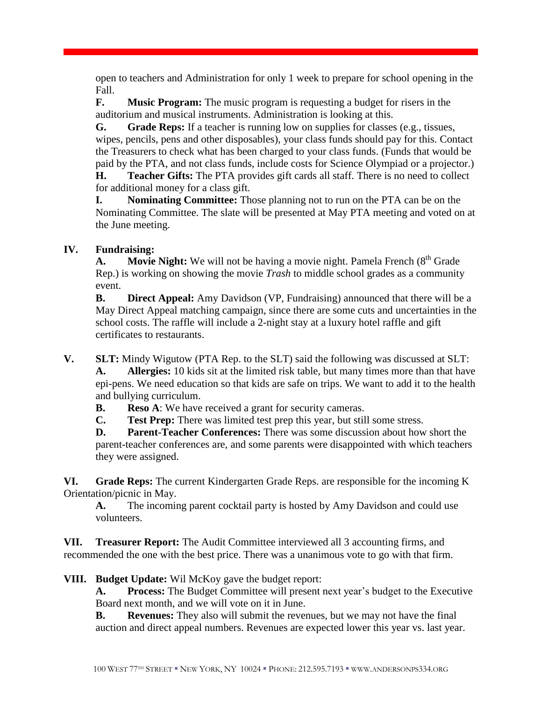open to teachers and Administration for only 1 week to prepare for school opening in the Fall.

**F. Music Program:** The music program is requesting a budget for risers in the auditorium and musical instruments. Administration is looking at this.

**G. Grade Reps:** If a teacher is running low on supplies for classes (e.g., tissues, wipes, pencils, pens and other disposables), your class funds should pay for this. Contact the Treasurers to check what has been charged to your class funds. (Funds that would be paid by the PTA, and not class funds, include costs for Science Olympiad or a projector.)

**H. Teacher Gifts:** The PTA provides gift cards all staff. There is no need to collect for additional money for a class gift.

**I. Nominating Committee:** Those planning not to run on the PTA can be on the Nominating Committee. The slate will be presented at May PTA meeting and voted on at the June meeting.

## **IV. Fundraising:**

**A. Movie Night:** We will not be having a movie night. Pamela French (8<sup>th</sup> Grade) Rep.) is working on showing the movie *Trash* to middle school grades as a community event.

**B. Direct Appeal:** Amy Davidson (VP, Fundraising) announced that there will be a May Direct Appeal matching campaign, since there are some cuts and uncertainties in the school costs. The raffle will include a 2-night stay at a luxury hotel raffle and gift certificates to restaurants.

**V. SLT:** Mindy Wigutow (PTA Rep. to the SLT) said the following was discussed at SLT:

**A. Allergies:** 10 kids sit at the limited risk table, but many times more than that have epi-pens. We need education so that kids are safe on trips. We want to add it to the health and bullying curriculum.

**B. Reso A**: We have received a grant for security cameras.

**C. Test Prep:** There was limited test prep this year, but still some stress.

**D. Parent-Teacher Conferences:** There was some discussion about how short the parent-teacher conferences are, and some parents were disappointed with which teachers they were assigned.

**VI. Grade Reps:** The current Kindergarten Grade Reps. are responsible for the incoming K Orientation/picnic in May.

**A.** The incoming parent cocktail party is hosted by Amy Davidson and could use volunteers.

**VII. Treasurer Report:** The Audit Committee interviewed all 3 accounting firms, and recommended the one with the best price. There was a unanimous vote to go with that firm.

**VIII. Budget Update:** Wil McKoy gave the budget report:

**A. Process:** The Budget Committee will present next year's budget to the Executive Board next month, and we will vote on it in June.

**B. Revenues:** They also will submit the revenues, but we may not have the final auction and direct appeal numbers. Revenues are expected lower this year vs. last year.